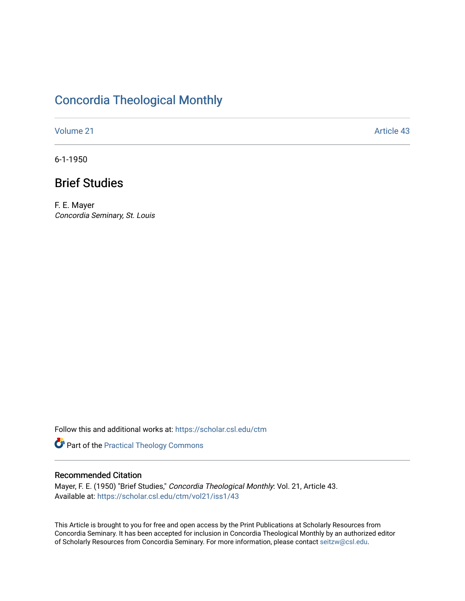# [Concordia Theological Monthly](https://scholar.csl.edu/ctm)

[Volume 21](https://scholar.csl.edu/ctm/vol21) Article 43

6-1-1950

## Brief Studies

F. E. Mayer Concordia Seminary, St. Louis

Follow this and additional works at: [https://scholar.csl.edu/ctm](https://scholar.csl.edu/ctm?utm_source=scholar.csl.edu%2Fctm%2Fvol21%2Fiss1%2F43&utm_medium=PDF&utm_campaign=PDFCoverPages)

Part of the [Practical Theology Commons](http://network.bepress.com/hgg/discipline/1186?utm_source=scholar.csl.edu%2Fctm%2Fvol21%2Fiss1%2F43&utm_medium=PDF&utm_campaign=PDFCoverPages)

### Recommended Citation

Mayer, F. E. (1950) "Brief Studies," Concordia Theological Monthly: Vol. 21, Article 43. Available at: [https://scholar.csl.edu/ctm/vol21/iss1/43](https://scholar.csl.edu/ctm/vol21/iss1/43?utm_source=scholar.csl.edu%2Fctm%2Fvol21%2Fiss1%2F43&utm_medium=PDF&utm_campaign=PDFCoverPages) 

This Article is brought to you for free and open access by the Print Publications at Scholarly Resources from Concordia Seminary. It has been accepted for inclusion in Concordia Theological Monthly by an authorized editor of Scholarly Resources from Concordia Seminary. For more information, please contact [seitzw@csl.edu](mailto:seitzw@csl.edu).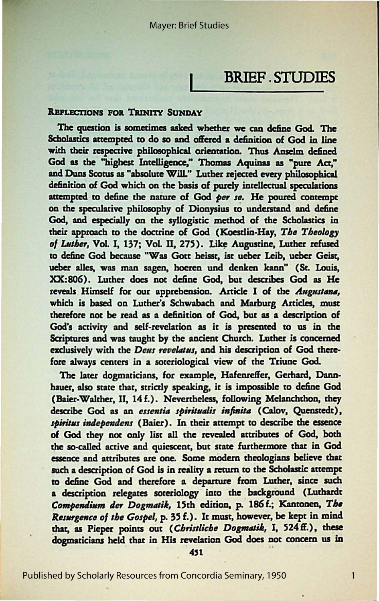### **BRIEF STUDIES**

#### **REFLECTIONS FOR TRINITY SUNDAY**

The question is sometimes asked whether we can define God. The Scholastics attempted to do so and offered a definition of God in line with their respective philosophical orientation. Thus Anselm defined God as the "highest Intelligence," Thomas Aquinas as "pure Act," and Duns Scotus as "absolute Will." Luther rejected every philosophical definition of God which on the basis of purely intellectual speculations attempted to define the nature of God per se. He poured contempt on the speculative philosophy of Dionysius to understand and define God, and especially on the syllogistic method of the Scholastics in their approach to the doctrine of God (Koestlin-Hay, The Theology of Luther, Vol. I, 137; Vol. II, 275). Like Augustine, Luther refused to define God because "Was Gott heisst, ist ueber Leib, ueber Geist, ueber alles, was man sagen, hoeren und denken kann" (St. Louis, XX:806). Luther does not define God, but describes God as He reveals Himself for our apprehension. Article I of the Augustana, which is based on Luther's Schwabach and Marburg Articles, must therefore not be read as a definition of God, but as a description of God's activity and self-revelation as it is presented to us in the Scriptures and was taught by the ancient Church. Luther is concerned exclusively with the Deus revelatus, and his description of God therefore always centers in a soteriological view of the Triune God.

The later dogmaticians, for example, Hafenreffer, Gerhard, Dannhauer, also state that, strictly speaking, it is impossible to define God (Baier-Walther, II, 14f.). Nevertheless, following Melanchthon, they describe God as an essentia spiritualis infinita (Calov, Quenstedt), spiritus independens (Baier). In their attempt to describe the essence of God they not only list all the revealed attributes of God, both the so-called active and quiescent, but state furthermore that in God essence and attributes are one. Some modern theologians believe that such a description of God is in reality a return to the Scholastic attempt to define God and therefore a departure from Luther, since such a description relegates soteriology into the background (Luthardt Compendium der Dogmatik, 15th edition, p. 186 f.; Kantonen, The Resurgence of the Gospel, p. 35 f.). It must, however, be kept in mind that, as Pieper points out (Christliche Dogmatik, I, 524 ff.), these dogmaticians held that in His revelation God does not concern us in

451

 $\mathbf{1}$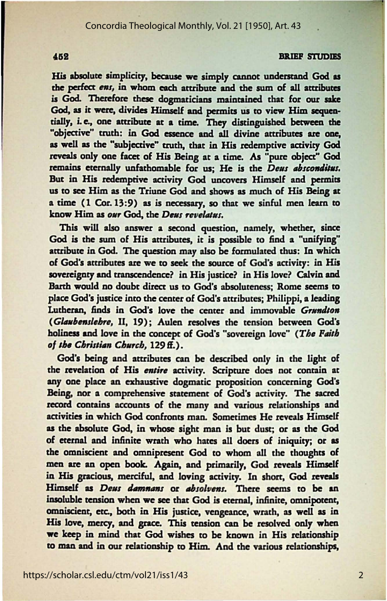#### **BRIEF STUDIES**

His absolute simplicity, because we simply cannot understand God as the perfect ens, in whom each attribute and the sum of all attributes is God. Therefore these dogmaticians maintained that for our sake God, as it were, divides Himself and permits us to view Him sequentially, i.e., one attribute at a time. They distinguished between the "objective" truth: in God essence and all divine attributes are one, as well as the "subjective" truth, that in His redemptive activity God reveals only one facet of His Being at a time. As "pure object" God remains eternally unfathomable for us; He is the *Deus absconditus*. But in His redemptive activity God uncovers Himself and permits<br>us to see Him as the Triune God and shows as much of His Being at a time (1 Cor. 13:9) as is necessary, so that we sinful men learn to know Him as our God, the Deus revelatus.

This will also answer a second question, namely, whether, since God is the sum of His attributes, it is possible to find a "unifying" attribute in God. The question may also be formulated thus: In which of God's attributes are we to seek the source of God's activity: in His sovereignty and transcendence? in His justice? in His love? Calvin and Barth would no doubt direct us to God's absoluteness: Rome seems to place God's justice into the center of God's attributes; Philippi, a leading Lutheran, finds in God's love the center and immovable Grundton (Glaubenslehre, II, 19); Aulen resolves the tension between God's holiness and love in the concept of God's "sovereign love" (The Faith of the Christian Church, 129 ff.).

God's being and attributes can be described only in the light of the revelation of His entire activity. Scripture does not contain at any one place an exhaustive dogmatic proposition concerning God's Being, nor a comprehensive statement of God's activity. The sacred record contains accounts of the many and various relationships and activities in which God confronts man. Sometimes He reveals Himself as the absolute God, in whose sight man is but dust; or as the God of eternal and infinite wrath who hates all doers of iniquity; or as the omniscient and omnipresent God to whom all the thoughts of men are an open book. Again, and primarily, God reveals Himself in His gracious, merciful, and loving activity. In short, God reveals Himself as Deus damnans or absolvens. There seems to be an insoluble tension when we see that God is eternal, infinite, omnipotent, omniscient, etc., both in His justice, vengeance, wrath, as well as in His love, mercy, and grace. This tension can be resolved only when we keep in mind that God wishes to be known in His relationship to man and in our relationship to Him. And the various relationships,

#### 452

 $\overline{2}$